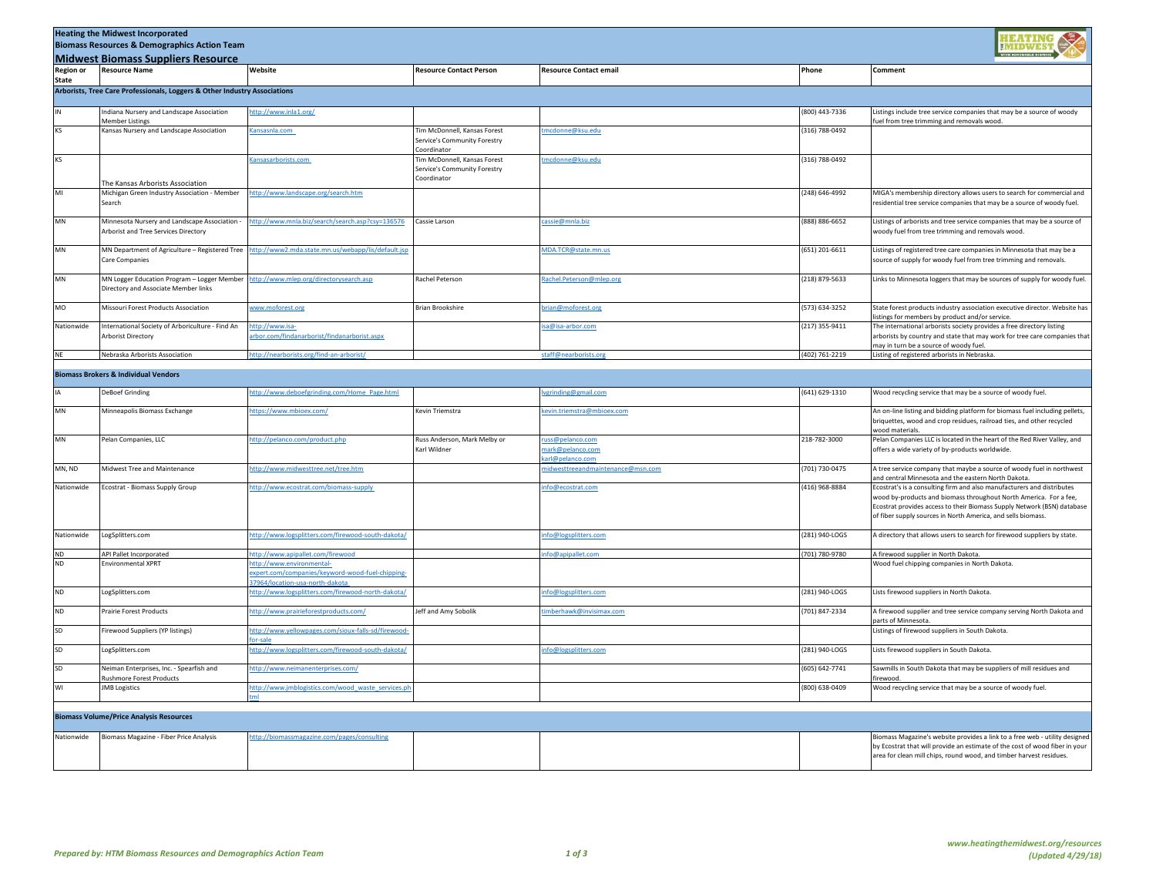| <b>Heating the Midwest Incorporated</b><br><b>Biomass Resources &amp; Demographics Action Team</b><br><b>Midwest Biomass Suppliers Resource</b> |                                                                                            |                                                                                                                                                     |                                                                                    |                                                       |                    |                                                                                                                                                                                                                                                                                        |  |
|-------------------------------------------------------------------------------------------------------------------------------------------------|--------------------------------------------------------------------------------------------|-----------------------------------------------------------------------------------------------------------------------------------------------------|------------------------------------------------------------------------------------|-------------------------------------------------------|--------------------|----------------------------------------------------------------------------------------------------------------------------------------------------------------------------------------------------------------------------------------------------------------------------------------|--|
| <b>Region or</b>                                                                                                                                | <b>Resource Name</b>                                                                       | Website                                                                                                                                             | <b>Resource Contact Person</b>                                                     | <b>Resource Contact email</b>                         | Phone              | Comment                                                                                                                                                                                                                                                                                |  |
| <b>State</b><br>Arborists, Tree Care Professionals, Loggers & Other Industry Associations                                                       |                                                                                            |                                                                                                                                                     |                                                                                    |                                                       |                    |                                                                                                                                                                                                                                                                                        |  |
|                                                                                                                                                 | Indiana Nursery and Landscape Association<br><b>Member Listings</b>                        | ttp://www.inla1.org/                                                                                                                                |                                                                                    |                                                       | (800) 443-7336     | listings include tree service companies that may be a source of woody.<br>uel from tree trimming and removals wood.                                                                                                                                                                    |  |
| KS                                                                                                                                              | Kansas Nursery and Landscape Association                                                   | Kansasnla.com                                                                                                                                       | <b>Tim McDonnell, Kansas Forest</b><br>Service's Community Forestry<br>Coordinator | ncdonne@ksu.edu                                       | (316) 788-0492     |                                                                                                                                                                                                                                                                                        |  |
| KS                                                                                                                                              |                                                                                            | Cansasarborists.com                                                                                                                                 | Tim McDonnell, Kansas Forest<br>Service's Community Forestry<br>Coordinator        | ncdonne@ksu.edu                                       | (316) 788-0492     |                                                                                                                                                                                                                                                                                        |  |
| MI                                                                                                                                              | The Kansas Arborists Association<br>Michigan Green Industry Association - Member<br>Search | ttp://www.landscape.org/search.htm                                                                                                                  |                                                                                    |                                                       | (248) 646-4992     | MIGA's membership directory allows users to search for commercial and<br>residential tree service companies that may be a source of woody fuel.                                                                                                                                        |  |
| MN                                                                                                                                              | Minnesota Nursery and Landscape Association -<br>Arborist and Tree Services Directory      | ttp://www.mnla.biz/search/search.asp?csy=136576                                                                                                     | Cassie Larson                                                                      | cassie@mnla.biz                                       | (888) 886-6652     | listings of arborists and tree service companies that may be a source of<br>voody fuel from tree trimming and removals wood.                                                                                                                                                           |  |
| MN                                                                                                                                              | MN Department of Agriculture - Registered Tree<br>Care Companies                           | http://www2.mda.state.mn.us/webapp/lis/default.jsp                                                                                                  |                                                                                    | MDA.TCR@state.mn.us                                   | $(651)$ 201-6611   | Listings of registered tree care companies in Minnesota that may be a<br>source of supply for woody fuel from tree trimming and removals.                                                                                                                                              |  |
| $\mathsf{M}\mathsf{N}$                                                                                                                          | MN Logger Education Program - Logger Member<br>Directory and Associate Member links        | http://www.mlep.org/directorysearch.asp                                                                                                             | Rachel Peterson                                                                    | tachel.Peterson@mlep.org                              | (218) 879-5633     | Links to Minnesota loggers that may be sources of supply for woody fuel.                                                                                                                                                                                                               |  |
| MO                                                                                                                                              | Missouri Forest Products Association                                                       | www.moforest.org                                                                                                                                    | Brian Brookshire                                                                   | rian@moforest.org                                     | (573) 634-3252     | State forest products industry association executive director. Website has<br>istings for members by product and/or service.                                                                                                                                                           |  |
| Nationwide                                                                                                                                      | International Society of Arboriculture - Find An<br>Arborist Directory                     | ttp://www.isa-<br>irbor.com/findanarborist/findanarborist.aspx                                                                                      |                                                                                    | sa@isa-arbor.com                                      | (217) 355-9411     | The international arborists society provides a free directory listing<br>arborists by country and state that may work for tree care companies that<br>nay in turn be a source of woody fuel.                                                                                           |  |
| <b>NF</b>                                                                                                                                       | Nebraska Arborists Association                                                             | ttp://nearborists.org/find-an-arborist/                                                                                                             |                                                                                    | staff@nearborists.org                                 | (402) 761-2219     | Listing of registered arborists in Nebraska.                                                                                                                                                                                                                                           |  |
|                                                                                                                                                 | <b>Biomass Brokers &amp; Individual Vendors</b>                                            |                                                                                                                                                     |                                                                                    |                                                       |                    |                                                                                                                                                                                                                                                                                        |  |
|                                                                                                                                                 | <b>DeBoef Grinding</b>                                                                     | ttp://www.deboefgrinding.com/Home_Page.html                                                                                                         |                                                                                    | vgrinding@gmail.com                                   | (641) 629-1310     | Wood recycling service that may be a source of woody fuel.                                                                                                                                                                                                                             |  |
| $\mathsf{M}\mathsf{N}$                                                                                                                          | Minneapolis Biomass Exchange                                                               | ttps://www.mbioex.com/                                                                                                                              | Kevin Triemstra                                                                    | evin.triemstra@mbioex.com                             |                    | An on-line listing and bidding platform for biomass fuel including pellets,<br>priquettes, wood and crop residues, railroad ties, and other recycled<br>ood materials                                                                                                                  |  |
| MN                                                                                                                                              | Pelan Companies, LLC                                                                       | http://pelanco.com/product.php                                                                                                                      | Russ Anderson, Mark Melby or<br>Karl Wildner                                       | uss@pelanco.com<br>nark@pelanco.com<br>rl@pelanco.com | 218-782-3000       | Pelan Companies LLC is located in the heart of the Red River Valley, and<br>offers a wide variety of by-products worldwide.                                                                                                                                                            |  |
| MN, ND                                                                                                                                          | Midwest Tree and Maintenance                                                               | ttp://www.midwesttree.net/tree.htm                                                                                                                  |                                                                                    | idwesttreeandmaintenance@msn.com                      | (701) 730-0475     | A tree service company that maybe a source of woody fuel in northwest<br>ind central Minnesota and the eastern North Dakota                                                                                                                                                            |  |
| Nationwide                                                                                                                                      | Ecostrat - Biomass Supply Group                                                            | ttp://www.ecostrat.com/biomass-supply                                                                                                               |                                                                                    | fo@ecostrat.com                                       | (416) 968-8884     | Ecostrat's is a consulting firm and also manufacturers and distributes<br>wood by-products and biomass throughout North America. For a fee,<br>Ecostrat provides access to their Biomass Supply Network (BSN) database<br>of fiber supply sources in North America, and sells biomass. |  |
| Nationwide                                                                                                                                      | LogSplitters.com                                                                           | http://www.logsplitters.com/firewood-south-dakota/                                                                                                  |                                                                                    | nfo@logsplitters.com                                  | (281) 940-LOGS     | A directory that allows users to search for firewood suppliers by state.                                                                                                                                                                                                               |  |
| ND<br>ND                                                                                                                                        | API Pallet Incorporated<br><b>Environmental XPRT</b>                                       | http://www.apipallet.com/firewood<br>ttp://www.environmental-<br>expert.com/companies/keyword-wood-fuel-chipping-<br>7964/location-usa-north-dakota |                                                                                    | nfo@apipallet.com                                     | (701) 780-9780     | A firewood supplier in North Dakota.<br>Nood fuel chipping companies in North Dakota.                                                                                                                                                                                                  |  |
| <b>ND</b>                                                                                                                                       | LogSplitters.com                                                                           | ttp://www.logsplitters.com/firewood-north-dakota/                                                                                                   |                                                                                    | nfo@logsplitters.com                                  | (281) 940-LOGS     | Lists firewood suppliers in North Dakota.                                                                                                                                                                                                                                              |  |
| ND                                                                                                                                              | Prairie Forest Products                                                                    | ttp://www.prairieforestproducts.com/                                                                                                                | Jeff and Amy Sobolik                                                               | mberhawk@invisimax.com                                | (701) 847-2334     | A firewood supplier and tree service company serving North Dakota and<br>parts of Minnesota.                                                                                                                                                                                           |  |
| SD                                                                                                                                              | Firewood Suppliers (YP listings)                                                           | http://www.yellowpages.com/sioux-falls-sd/firewood-<br>or-sale                                                                                      |                                                                                    |                                                       |                    | Listings of firewood suppliers in South Dakota.                                                                                                                                                                                                                                        |  |
| SD                                                                                                                                              | LogSplitters.com                                                                           | http://www.logsplitters.com/firewood-south-dakota/                                                                                                  |                                                                                    | nfo@logsplitters.com                                  | (281) 940-LOGS     | Lists firewood suppliers in South Dakota.                                                                                                                                                                                                                                              |  |
| SD                                                                                                                                              | Neiman Enterprises, Inc. - Spearfish and<br><b>Rushmore Forest Products</b>                | ttp://www.neimanenterprises.com/                                                                                                                    |                                                                                    |                                                       | $(605) 642 - 7741$ | Sawmills in South Dakota that may be suppliers of mill residues and<br>irewood                                                                                                                                                                                                         |  |
| WI                                                                                                                                              | <b>JMB</b> Logistics                                                                       | http://www.jmblogistics.com/wood_waste_services.pl                                                                                                  |                                                                                    |                                                       | (800) 638-0409     | Wood recycling service that may be a source of woody fuel.                                                                                                                                                                                                                             |  |
| <b>Biomass Volume/Price Analysis Resources</b>                                                                                                  |                                                                                            |                                                                                                                                                     |                                                                                    |                                                       |                    |                                                                                                                                                                                                                                                                                        |  |
| Nationwide                                                                                                                                      | Biomass Magazine - Fiber Price Analysis                                                    | tp://biomassmagazine.com/pages/consulting                                                                                                           |                                                                                    |                                                       |                    | siomass Magazine's website provides a link to a free web - utility designed<br>by Ecostrat that will provide an estimate of the cost of wood fiber in your<br>area for clean mill chips, round wood, and timber harvest residues.                                                      |  |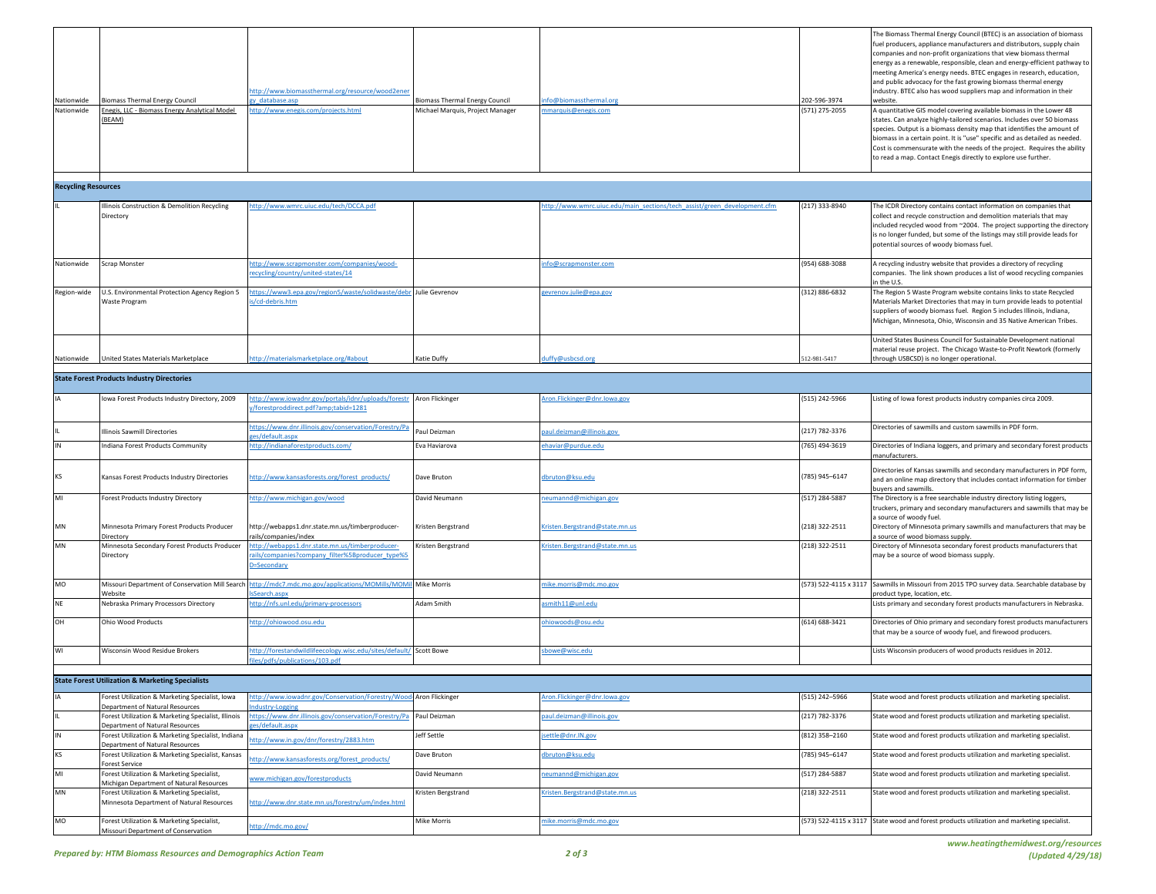| Nationwide<br>Nationwide   | <b>Biomass Thermal Energy Council</b><br>Enegis, LLC - Biomass Energy Analytical Model<br>(BEAM) | http://www.biomassthermal.org/resource/wood2ener<br>u datahase asn<br>ttp://www.enegis.com/projects.html          | <b>Biomass Thermal Energy Council</b><br>Michael Marquis, Project Manager | nfo@biomassthermal.org<br>nmarquis@enegis.com                           | 202-596-3974<br>571) 275-2055 | The Biomass Thermal Energy Council (BTEC) is an association of biomass<br>fuel producers, appliance manufacturers and distributors, supply chain<br>companies and non-profit organizations that view biomass thermal<br>energy as a renewable, responsible, clean and energy-efficient pathway to<br>meeting America's energy needs. BTEC engages in research, education,<br>and public advocacy for the fast growing biomass thermal energy<br>industry. BTEC also has wood suppliers map and information in their<br>website.<br>A quantitative GIS model covering available biomass in the Lower 48<br>states. Can analyze highly-tailored scenarios. Includes over 50 biomass<br>species. Output is a biomass density map that identifies the amount of<br>biomass in a certain point. It is "use" specific and as detailed as needed.<br>Cost is commensurate with the needs of the project. Requires the ability<br>to read a map. Contact Enegis directly to explore use further. |
|----------------------------|--------------------------------------------------------------------------------------------------|-------------------------------------------------------------------------------------------------------------------|---------------------------------------------------------------------------|-------------------------------------------------------------------------|-------------------------------|------------------------------------------------------------------------------------------------------------------------------------------------------------------------------------------------------------------------------------------------------------------------------------------------------------------------------------------------------------------------------------------------------------------------------------------------------------------------------------------------------------------------------------------------------------------------------------------------------------------------------------------------------------------------------------------------------------------------------------------------------------------------------------------------------------------------------------------------------------------------------------------------------------------------------------------------------------------------------------------|
| <b>Recycling Resources</b> |                                                                                                  |                                                                                                                   |                                                                           |                                                                         |                               |                                                                                                                                                                                                                                                                                                                                                                                                                                                                                                                                                                                                                                                                                                                                                                                                                                                                                                                                                                                          |
|                            |                                                                                                  |                                                                                                                   |                                                                           |                                                                         |                               |                                                                                                                                                                                                                                                                                                                                                                                                                                                                                                                                                                                                                                                                                                                                                                                                                                                                                                                                                                                          |
|                            | Illinois Construction & Demolition Recycling<br>Directory                                        | ttp://www.wmrc.uiuc.edu/tech/DCCA.pdf                                                                             |                                                                           | ttp://www.wmrc.uiuc.edu/main_sections/tech_assist/green_development.cfm | (217) 333-8940                | The ICDR Directory contains contact information on companies that<br>collect and recycle construction and demolition materials that may<br>included recycled wood from ~2004. The project supporting the directory<br>is no longer funded, but some of the listings may still provide leads for<br>potential sources of woody biomass fuel.                                                                                                                                                                                                                                                                                                                                                                                                                                                                                                                                                                                                                                              |
| Nationwide                 | Scrap Monster                                                                                    | ttp://www.scrapmonster.com/companies/wood-<br>ecycling/country/united-states/14                                   |                                                                           | nfo@scrapmonster.com                                                    | (954) 688-3088                | A recycling industry website that provides a directory of recycling<br>companies. The link shown produces a list of wood recycling companies<br>n the U.S.                                                                                                                                                                                                                                                                                                                                                                                                                                                                                                                                                                                                                                                                                                                                                                                                                               |
| Region-wide                | U.S. Environmental Protection Agency Region 5<br>Waste Program                                   | ttps://www3.epa.gov/region5/waste/solidwaste/debr Julie Gevrenov<br>s/cd-debris.htm                               |                                                                           | evrenov.julie@epa.gov                                                   | (312) 886-6832                | The Region 5 Waste Program website contains links to state Recycled<br>Materials Market Directories that may in turn provide leads to potential<br>suppliers of woody biomass fuel. Region 5 includes Illinois, Indiana,<br>Michigan, Minnesota, Ohio, Wisconsin and 35 Native American Tribes.                                                                                                                                                                                                                                                                                                                                                                                                                                                                                                                                                                                                                                                                                          |
| Nationwide                 | United States Materials Marketplace                                                              | ttp://materialsmarketplace.org/#about                                                                             | Katie Duffy                                                               | uffy@usbcsd.org                                                         | 512-981-5417                  | United States Business Council for Sustainable Development national<br>material reuse project. The Chicago Waste-to-Profit Newtork (formerly<br>through USBCSD) is no longer operational.                                                                                                                                                                                                                                                                                                                                                                                                                                                                                                                                                                                                                                                                                                                                                                                                |
|                            | <b>State Forest Products Industry Directories</b>                                                |                                                                                                                   |                                                                           |                                                                         |                               |                                                                                                                                                                                                                                                                                                                                                                                                                                                                                                                                                                                                                                                                                                                                                                                                                                                                                                                                                                                          |
|                            | Iowa Forest Products Industry Directory, 2009                                                    | ttp://www.iowadnr.gov/portals/idnr/uploads/forestr<br>/forestproddirect.pdf?amp;tabid=1281                        | Aron Flickinger                                                           | ron.Flickinger@dnr.Iowa.gov                                             | (515) 242-5966                | Listing of Iowa forest products industry companies circa 2009.                                                                                                                                                                                                                                                                                                                                                                                                                                                                                                                                                                                                                                                                                                                                                                                                                                                                                                                           |
|                            | Illinois Sawmill Directories                                                                     | ttps://www.dnr.illinois.gov/conservation/Forestry/Pa<br>es/default.aspx                                           | Paul Deizman                                                              | aul.deizman@illinois.gov                                                | (217) 782-3376                | Directories of sawmills and custom sawmills in PDF form.                                                                                                                                                                                                                                                                                                                                                                                                                                                                                                                                                                                                                                                                                                                                                                                                                                                                                                                                 |
|                            | Indiana Forest Products Community                                                                | http://indianaforestproducts.com/                                                                                 | Eva Haviarova                                                             | haviar@purdue.edu                                                       | 765) 494-3619                 | Directories of Indiana loggers, and primary and secondary forest products                                                                                                                                                                                                                                                                                                                                                                                                                                                                                                                                                                                                                                                                                                                                                                                                                                                                                                                |
| KS                         | Kansas Forest Products Industry Directories                                                      | ittp://www.kansasforests.org/forest_products/                                                                     | Dave Bruton                                                               | bruton@ksu.edu                                                          | (785) 945-6147                | manufacturers.<br>Directories of Kansas sawmills and secondary manufacturers in PDF form,<br>and an online map directory that includes contact information for timber<br>buyers and sawmills.                                                                                                                                                                                                                                                                                                                                                                                                                                                                                                                                                                                                                                                                                                                                                                                            |
| MI                         | Forest Products Industry Directory                                                               | ttp://www.michigan.gov/wood                                                                                       | David Neumann                                                             | eumannd@michigan.gov                                                    | (517) 284-5887                | The Directory is a free searchable industry directory listing loggers,<br>truckers, primary and secondary manufacturers and sawmills that may be                                                                                                                                                                                                                                                                                                                                                                                                                                                                                                                                                                                                                                                                                                                                                                                                                                         |
| MN                         | Minnesota Primary Forest Products Producer<br>Directory                                          | http://webapps1.dnr.state.mn.us/timberproducer-<br>ails/companies/index                                           | Kristen Bergstrand                                                        | cristen.Bergstrand@state.mn.us                                          | (218) 322-2511                | a source of woody fuel.<br>Directory of Minnesota primary sawmills and manufacturers that may be<br>a source of wood biomass supply.                                                                                                                                                                                                                                                                                                                                                                                                                                                                                                                                                                                                                                                                                                                                                                                                                                                     |
| MN                         | Minnesota Secondary Forest Products Producer<br>Directory                                        | ttp://webapps1.dnr.state.mn.us/timberproducer-<br>rails/companies?company_filter%5Bproducer_type%5<br>>=Secondary | Kristen Bergstrand                                                        | risten.Bergstrand@state.mn.us                                           | (218) 322-2511                | Directory of Minnesota secondary forest products manufacturers that<br>may be a source of wood biomass supply.                                                                                                                                                                                                                                                                                                                                                                                                                                                                                                                                                                                                                                                                                                                                                                                                                                                                           |
| MO                         | Missouri Department of Conservation Mill Search<br>Website                                       | ttp://mdc7.mdc.mo.gov/applications/MOMills/MOMil<br>Search.aspx                                                   | Mike Morris                                                               | nike.morris@mdc.mo.gov                                                  |                               | (573) 522-4115 x 3117 Sawmills in Missouri from 2015 TPO survey data. Searchable database by<br>product type, location, etc.                                                                                                                                                                                                                                                                                                                                                                                                                                                                                                                                                                                                                                                                                                                                                                                                                                                             |
| <b>NE</b>                  | Nebraska Primary Processors Directory                                                            | ttp://nfs.unl.edu/primary-processors                                                                              | Adam Smith                                                                | smith11@unl.edu                                                         |                               | ists primary and secondary forest products manufacturers in Nebraska.                                                                                                                                                                                                                                                                                                                                                                                                                                                                                                                                                                                                                                                                                                                                                                                                                                                                                                                    |
| OH                         | <b>Ohio Wood Products</b>                                                                        | ttp://ohiowood.osu.edu                                                                                            |                                                                           | hiowoods@osu.edu                                                        | (614) 688-3421                | Directories of Ohio primary and secondary forest products manufacturers<br>that may be a source of woody fuel, and firewood producers.                                                                                                                                                                                                                                                                                                                                                                                                                                                                                                                                                                                                                                                                                                                                                                                                                                                   |
| WI                         | Wisconsin Wood Residue Brokers                                                                   | http://forestandwildlifeecology.wisc.edu/sites/default/ Scott Bowe<br>les/pdfs/publications/103.pdf               |                                                                           | bowe@wisc.edu                                                           |                               | Lists Wisconsin producers of wood products residues in 2012.                                                                                                                                                                                                                                                                                                                                                                                                                                                                                                                                                                                                                                                                                                                                                                                                                                                                                                                             |
|                            | <b>State Forest Utilization &amp; Marketing Specialists</b>                                      |                                                                                                                   |                                                                           |                                                                         |                               |                                                                                                                                                                                                                                                                                                                                                                                                                                                                                                                                                                                                                                                                                                                                                                                                                                                                                                                                                                                          |
|                            | Forest Utilization & Marketing Specialist, Iowa                                                  | ttp://www.iowadnr.gov/Conservation/Forestry/Woo                                                                   | Aron Flickinger                                                           | ron.Flickinger@dnr.Iowa.gov                                             | (515) 242-5966                | State wood and forest products utilization and marketing specialist.                                                                                                                                                                                                                                                                                                                                                                                                                                                                                                                                                                                                                                                                                                                                                                                                                                                                                                                     |
|                            | Department of Natural Resources<br>Forest Utilization & Marketing Specialist, Illinois           | dustry-Logging<br>ittps://www.dnr.illinois.gov/conservation/Forestry/Pa                                           | Paul Deizman                                                              | aul.deizman@illinois.gov                                                | (217) 782-3376                | State wood and forest products utilization and marketing specialist.                                                                                                                                                                                                                                                                                                                                                                                                                                                                                                                                                                                                                                                                                                                                                                                                                                                                                                                     |
|                            | Department of Natural Resources<br>Forest Utilization & Marketing Specialist, Indiana            | es/default asm                                                                                                    | Jeff Settle                                                               | ettle@dnr.IN.gov                                                        | $(812)$ 358-2160              | State wood and forest products utilization and marketing specialist.                                                                                                                                                                                                                                                                                                                                                                                                                                                                                                                                                                                                                                                                                                                                                                                                                                                                                                                     |
| KS                         | epartment of Natural Resources<br>Forest Utilization & Marketing Specialist, Kansas              | ttp://www.in.gov/dnr/forestry/2883.htm                                                                            | Dave Bruton                                                               | bruton@ksu.edu                                                          | 785) 945-6147                 | State wood and forest products utilization and marketing specialist.                                                                                                                                                                                                                                                                                                                                                                                                                                                                                                                                                                                                                                                                                                                                                                                                                                                                                                                     |
| MI                         | Forest Service<br>Forest Utilization & Marketing Specialist.                                     | ttp://www.kansasforests.org/forest_products/                                                                      | David Neumann                                                             | neumannd@michigan.gov                                                   | (517) 284-5887                | State wood and forest products utilization and marketing specialist.                                                                                                                                                                                                                                                                                                                                                                                                                                                                                                                                                                                                                                                                                                                                                                                                                                                                                                                     |
| MN                         | Michigan Department of Natural Resources<br>Forest Utilization & Marketing Specialist,           | vww.michigan.gov/forestproducts                                                                                   | Kristen Bergstrand                                                        | risten.Bergstrand@state.mn.us                                           | (218) 322-2511                | State wood and forest products utilization and marketing specialist.                                                                                                                                                                                                                                                                                                                                                                                                                                                                                                                                                                                                                                                                                                                                                                                                                                                                                                                     |
|                            | Minnesota Department of Natural Resources                                                        | ittp://www.dnr.state.mn.us/forestry/um/index.html                                                                 |                                                                           |                                                                         |                               |                                                                                                                                                                                                                                                                                                                                                                                                                                                                                                                                                                                                                                                                                                                                                                                                                                                                                                                                                                                          |
| MO                         | Forest Utilization & Marketing Specialist,<br>Missouri Department of Conservation                | ttp://mdc.mo.gov/                                                                                                 | <b>Mike Morris</b>                                                        | nike.morris@mdc.mo.gov                                                  |                               | (573) 522-4115 x 3117 State wood and forest products utilization and marketing specialist.                                                                                                                                                                                                                                                                                                                                                                                                                                                                                                                                                                                                                                                                                                                                                                                                                                                                                               |